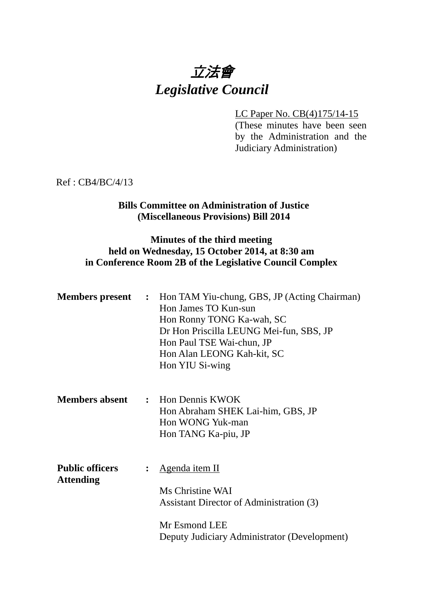# 立法會 *Legislative Council*

LC Paper No. CB(4)175/14-15 (These minutes have been seen by the Administration and the Judiciary Administration)

Ref : CB4/BC/4/13

## **Bills Committee on Administration of Justice (Miscellaneous Provisions) Bill 2014**

## **Minutes of the third meeting held on Wednesday, 15 October 2014, at 8:30 am in Conference Room 2B of the Legislative Council Complex**

|                                            |                | <b>Members present :</b> Hon TAM Yiu-chung, GBS, JP (Acting Chairman)<br>Hon James TO Kun-sun<br>Hon Ronny TONG Ka-wah, SC<br>Dr Hon Priscilla LEUNG Mei-fun, SBS, JP<br>Hon Paul TSE Wai-chun, JP<br>Hon Alan LEONG Kah-kit, SC<br>Hon YIU Si-wing |
|--------------------------------------------|----------------|-----------------------------------------------------------------------------------------------------------------------------------------------------------------------------------------------------------------------------------------------------|
| <b>Members absent</b>                      |                | : Hon Dennis KWOK<br>Hon Abraham SHEK Lai-him, GBS, JP<br>Hon WONG Yuk-man<br>Hon TANG Ka-piu, JP                                                                                                                                                   |
| <b>Public officers</b><br><b>Attending</b> | $\ddot{\cdot}$ | Agenda item II<br>Ms Christine WAI<br>Assistant Director of Administration (3)<br>Mr Esmond LEE<br>Deputy Judiciary Administrator (Development)                                                                                                     |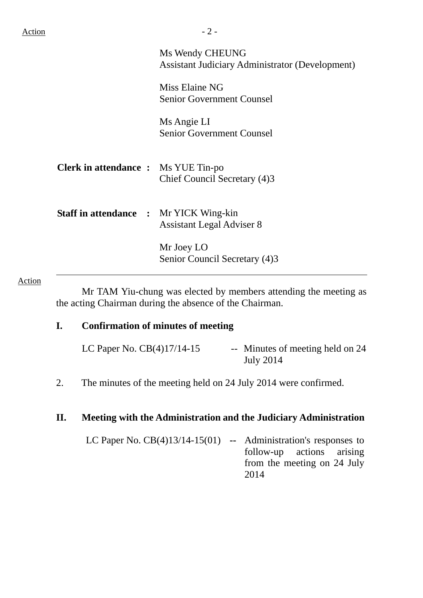|                                               | Ms Wendy CHEUNG<br><b>Assistant Judiciary Administrator (Development)</b> |
|-----------------------------------------------|---------------------------------------------------------------------------|
|                                               | Miss Elaine NG<br><b>Senior Government Counsel</b>                        |
|                                               | Ms Angie LI<br><b>Senior Government Counsel</b>                           |
| <b>Clerk in attendance :</b> Ms YUE Tin-po    | Chief Council Secretary (4)3                                              |
| <b>Staff in attendance : Mr YICK Wing-kin</b> | <b>Assistant Legal Adviser 8</b>                                          |
|                                               | Mr Joey LO<br>Senior Council Secretary (4)3                               |

#### Action

 Mr TAM Yiu-chung was elected by members attending the meeting as the acting Chairman during the absence of the Chairman.

# **I. Confirmation of minutes of meeting**

| LC Paper No. $CB(4)17/14-15$ | -- Minutes of meeting held on 24 |
|------------------------------|----------------------------------|
|                              | <b>July 2014</b>                 |

2. The minutes of the meeting held on 24 July 2014 were confirmed.

## **II. Meeting with the Administration and the Judiciary Administration**

LC Paper No. CB(4)13/14-15(01) **--** Administration's responses to follow-up actions arising from the meeting on 24 July 2014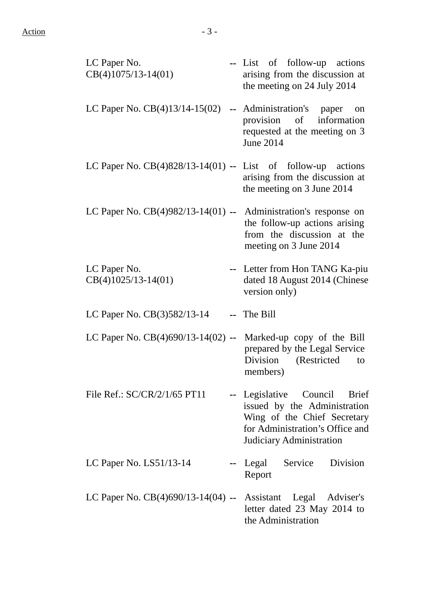| LC Paper No.<br>$CB(4)1075/13-14(01)$                          | -- List of follow-up actions<br>arising from the discussion at<br>the meeting on 24 July 2014                                                              |
|----------------------------------------------------------------|------------------------------------------------------------------------------------------------------------------------------------------------------------|
| LC Paper No. CB(4)13/14-15(02)                                 | -- Administration's paper<br>on<br>provision of information<br>requested at the meeting on 3<br><b>June 2014</b>                                           |
| LC Paper No. $CB(4)828/13-14(01)$ -- List of follow-up actions | arising from the discussion at<br>the meeting on 3 June 2014                                                                                               |
| LC Paper No. CB(4)982/13-14(01) --                             | Administration's response on<br>the follow-up actions arising<br>from the discussion at the<br>meeting on 3 June 2014                                      |
| LC Paper No.<br>$CB(4)1025/13-14(01)$                          | -- Letter from Hon TANG Ka-piu<br>dated 18 August 2014 (Chinese<br>version only)                                                                           |
| LC Paper No. CB(3)582/13-14                                    | -- The Bill                                                                                                                                                |
| LC Paper No. CB(4)690/13-14(02) --                             | Marked-up copy of the Bill<br>prepared by the Legal Service<br>Division<br>(Restricted<br>to<br>members)                                                   |
| File Ref.: SC/CR/2/1/65 PT11                                   | -- Legislative Council Brief<br>issued by the Administration<br>Wing of the Chief Secretary<br>for Administration's Office and<br>Judiciary Administration |
| LC Paper No. LS51/13-14                                        | -- Legal Service<br>Division<br>Report                                                                                                                     |
| LC Paper No. CB(4)690/13-14(04) -- Assistant Legal Adviser's   | letter dated 23 May 2014 to<br>the Administration                                                                                                          |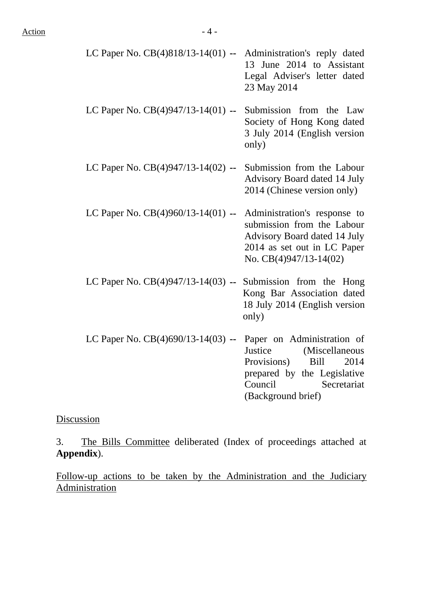| LC Paper No. $CB(4)818/13-14(01)$ -- Administration's reply dated |                              |
|-------------------------------------------------------------------|------------------------------|
|                                                                   | 13 June 2014 to Assistant    |
|                                                                   | Legal Adviser's letter dated |
|                                                                   | 23 May 2014                  |

LC Paper No. CB(4)947/13-14(01) **--** Submission from the Law Society of Hong Kong dated 3 July 2014 (English version only)

- LC Paper No. CB(4)947/13-14(02) **--** Submission from the Labour Advisory Board dated 14 July 2014 (Chinese version only)
- LC Paper No. CB(4)960/13-14(01) **--** Administration's response to submission from the Labour Advisory Board dated 14 July 2014 as set out in LC Paper No. CB(4)947/13-14(02)
- LC Paper No. CB(4)947/13-14(03) **--** Submission from the Hong Kong Bar Association dated 18 July 2014 (English version only)
- LC Paper No. CB(4)690/13-14(03) **--** Paper on Administration of Justice (Miscellaneous Provisions) Bill 2014 prepared by the Legislative Council Secretariat (Background brief)

Discussion

3. The Bills Committee deliberated (Index of proceedings attached at **Appendix**).

Follow-up actions to be taken by the Administration and the Judiciary Administration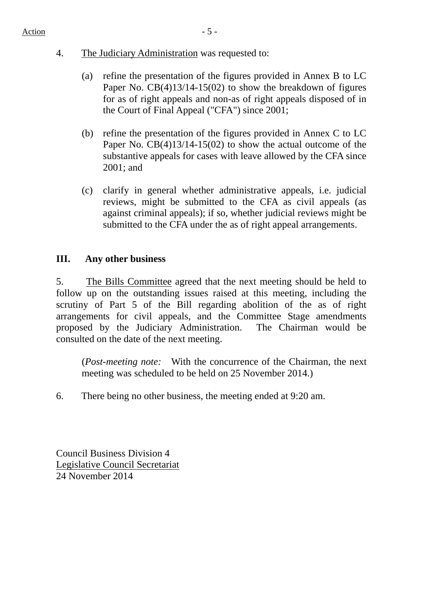- 4. The Judiciary Administration was requested to:
	- (a) refine the presentation of the figures provided in Annex B to LC Paper No. CB(4)13/14-15(02) to show the breakdown of figures for as of right appeals and non-as of right appeals disposed of in the Court of Final Appeal ("CFA") since 2001;
	- (b) refine the presentation of the figures provided in Annex C to LC Paper No. CB(4)13/14-15(02) to show the actual outcome of the substantive appeals for cases with leave allowed by the CFA since 2001; and
	- (c) clarify in general whether administrative appeals, i.e. judicial reviews, might be submitted to the CFA as civil appeals (as against criminal appeals); if so, whether judicial reviews might be submitted to the CFA under the as of right appeal arrangements.

# **III. Any other business**

5. The Bills Committee agreed that the next meeting should be held to follow up on the outstanding issues raised at this meeting, including the scrutiny of Part 5 of the Bill regarding abolition of the as of right arrangements for civil appeals, and the Committee Stage amendments proposed by the Judiciary Administration. The Chairman would be consulted on the date of the next meeting.

(*Post-meeting note:* With the concurrence of the Chairman, the next meeting was scheduled to be held on 25 November 2014.)

6. There being no other business, the meeting ended at 9:20 am.

Council Business Division 4 Legislative Council Secretariat 24 November 2014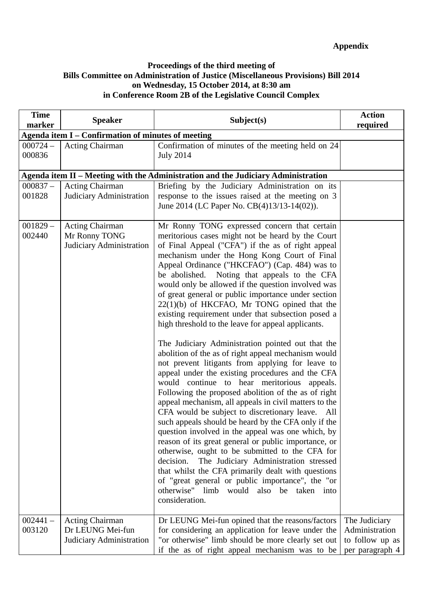#### **Proceedings of the third meeting of Bills Committee on Administration of Justice (Miscellaneous Provisions) Bill 2014 on Wednesday, 15 October 2014, at 8:30 am in Conference Room 2B of the Legislative Council Complex**

| <b>Time</b><br>marker | <b>Speaker</b>                                                      | Subject(s)                                                                                                                                                                                                                                                                                                                                                                                                                                                                                                                                                                                                                                                                                                                                                                                                                                                                                                                                                                                                                                                                                                                                                                                                                                                                                                                                                                                                                                                                       | <b>Action</b><br>required                                             |
|-----------------------|---------------------------------------------------------------------|----------------------------------------------------------------------------------------------------------------------------------------------------------------------------------------------------------------------------------------------------------------------------------------------------------------------------------------------------------------------------------------------------------------------------------------------------------------------------------------------------------------------------------------------------------------------------------------------------------------------------------------------------------------------------------------------------------------------------------------------------------------------------------------------------------------------------------------------------------------------------------------------------------------------------------------------------------------------------------------------------------------------------------------------------------------------------------------------------------------------------------------------------------------------------------------------------------------------------------------------------------------------------------------------------------------------------------------------------------------------------------------------------------------------------------------------------------------------------------|-----------------------------------------------------------------------|
|                       | Agenda item I – Confirmation of minutes of meeting                  |                                                                                                                                                                                                                                                                                                                                                                                                                                                                                                                                                                                                                                                                                                                                                                                                                                                                                                                                                                                                                                                                                                                                                                                                                                                                                                                                                                                                                                                                                  |                                                                       |
| $000724 -$<br>000836  | <b>Acting Chairman</b>                                              | Confirmation of minutes of the meeting held on 24<br><b>July 2014</b>                                                                                                                                                                                                                                                                                                                                                                                                                                                                                                                                                                                                                                                                                                                                                                                                                                                                                                                                                                                                                                                                                                                                                                                                                                                                                                                                                                                                            |                                                                       |
|                       |                                                                     | Agenda item II – Meeting with the Administration and the Judiciary Administration                                                                                                                                                                                                                                                                                                                                                                                                                                                                                                                                                                                                                                                                                                                                                                                                                                                                                                                                                                                                                                                                                                                                                                                                                                                                                                                                                                                                |                                                                       |
| $000837 -$<br>001828  | <b>Acting Chairman</b><br>Judiciary Administration                  | Briefing by the Judiciary Administration on its<br>response to the issues raised at the meeting on 3<br>June 2014 (LC Paper No. CB(4)13/13-14(02)).                                                                                                                                                                                                                                                                                                                                                                                                                                                                                                                                                                                                                                                                                                                                                                                                                                                                                                                                                                                                                                                                                                                                                                                                                                                                                                                              |                                                                       |
| $001829 -$<br>002440  | <b>Acting Chairman</b><br>Mr Ronny TONG<br>Judiciary Administration | Mr Ronny TONG expressed concern that certain<br>meritorious cases might not be heard by the Court<br>of Final Appeal ("CFA") if the as of right appeal<br>mechanism under the Hong Kong Court of Final<br>Appeal Ordinance ("HKCFAO") (Cap. 484) was to<br>Noting that appeals to the CFA<br>be abolished.<br>would only be allowed if the question involved was<br>of great general or public importance under section<br>$22(1)(b)$ of HKCFAO, Mr TONG opined that the<br>existing requirement under that subsection posed a<br>high threshold to the leave for appeal applicants.<br>The Judiciary Administration pointed out that the<br>abolition of the as of right appeal mechanism would<br>not prevent litigants from applying for leave to<br>appeal under the existing procedures and the CFA<br>would continue to hear meritorious appeals.<br>Following the proposed abolition of the as of right<br>appeal mechanism, all appeals in civil matters to the<br>CFA would be subject to discretionary leave. All<br>such appeals should be heard by the CFA only if the<br>question involved in the appeal was one which, by<br>reason of its great general or public importance, or<br>otherwise, ought to be submitted to the CFA for<br>The Judiciary Administration stressed<br>decision.<br>that whilst the CFA primarily dealt with questions<br>of "great general or public importance", the "or<br>otherwise" limb would also be taken into<br>consideration. |                                                                       |
| $002441 -$<br>003120  | Acting Chairman<br>Dr LEUNG Mei-fun<br>Judiciary Administration     | Dr LEUNG Mei-fun opined that the reasons/factors<br>for considering an application for leave under the<br>"or otherwise" limb should be more clearly set out<br>if the as of right appeal mechanism was to be                                                                                                                                                                                                                                                                                                                                                                                                                                                                                                                                                                                                                                                                                                                                                                                                                                                                                                                                                                                                                                                                                                                                                                                                                                                                    | The Judiciary<br>Administration<br>to follow up as<br>per paragraph 4 |